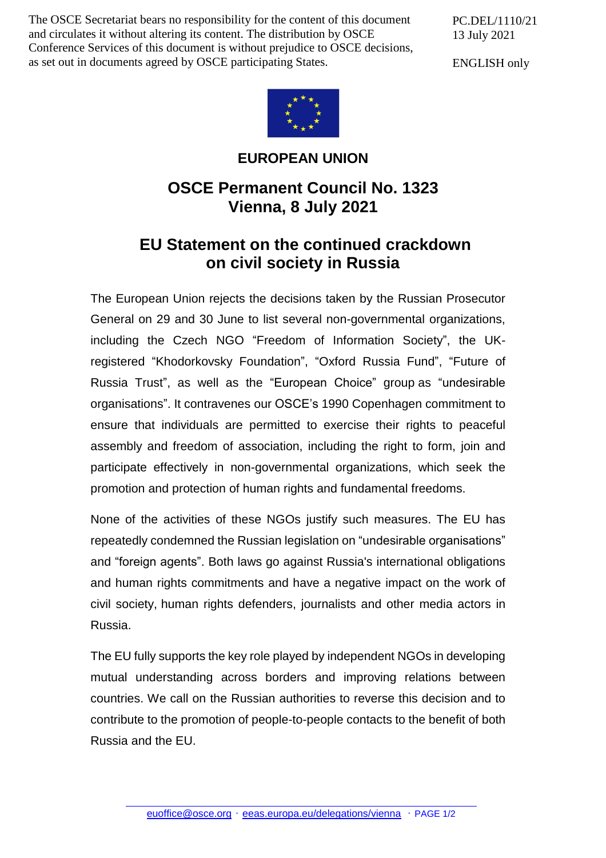The OSCE Secretariat bears no responsibility for the content of this document and circulates it without altering its content. The distribution by OSCE Conference Services of this document is without prejudice to OSCE decisions, as set out in documents agreed by OSCE participating States.

PC.DEL/1110/21 13 July 2021

ENGLISH only



## **EUROPEAN UNION**

## **OSCE Permanent Council No. 1323 Vienna, 8 July 2021**

## **EU Statement on the continued crackdown on civil society in Russia**

The European Union rejects the decisions taken by the Russian Prosecutor General on 29 and 30 June to list several non-governmental organizations, including the Czech NGO "Freedom of Information Society", the UKregistered "Khodorkovsky Foundation", "Oxford Russia Fund", "Future of Russia Trust", as well as the "European Choice" group as "undesirable organisations". It contravenes our OSCE's 1990 Copenhagen commitment to ensure that individuals are permitted to exercise their rights to peaceful assembly and freedom of association, including the right to form, join and participate effectively in non-governmental organizations, which seek the promotion and protection of human rights and fundamental freedoms.

None of the activities of these NGOs justify such measures. The EU has repeatedly condemned the Russian legislation on "undesirable organisations" and "foreign agents". Both laws go against Russia's international obligations and human rights commitments and have a negative impact on the work of civil society, human rights defenders, journalists and other media actors in Russia.

The EU fully supports the key role played by independent NGOs in developing mutual understanding across borders and improving relations between countries. We call on the Russian authorities to reverse this decision and to contribute to the promotion of people-to-people contacts to the benefit of both Russia and the EU.